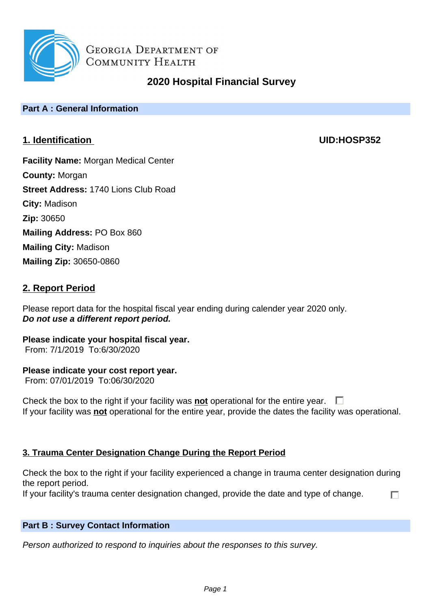

# **2020 Hospital Financial Survey**

# **Part A : General Information**

# **1. Identification UID:HOSP352**

п

**Facility Name:** Morgan Medical Center **County:** Morgan **Street Address:** 1740 Lions Club Road **City:** Madison **Zip:** 30650 **Mailing Address:** PO Box 860 **Mailing City:** Madison **Mailing Zip:** 30650-0860

# **2. Report Period**

Please report data for the hospital fiscal year ending during calender year 2020 only. **Do not use a different report period.**

**Please indicate your hospital fiscal year.** From: 7/1/2019 To:6/30/2020

# **Please indicate your cost report year.**

From: 07/01/2019 To:06/30/2020

Check the box to the right if your facility was **not** operational for the entire year.  $\Box$ If your facility was **not** operational for the entire year, provide the dates the facility was operational.

# **3. Trauma Center Designation Change During the Report Period**

Check the box to the right if your facility experienced a change in trauma center designation during the report period.

If your facility's trauma center designation changed, provide the date and type of change.

# **Part B : Survey Contact Information**

Person authorized to respond to inquiries about the responses to this survey.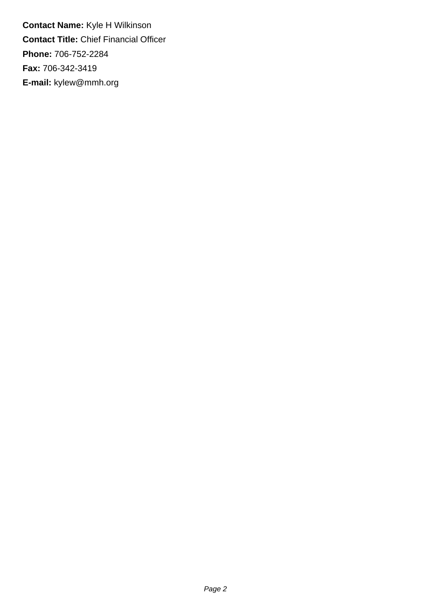**Contact Name:** Kyle H Wilkinson **Contact Title:** Chief Financial Officer **Phone:** 706-752-2284 **Fax:** 706-342-3419 **E-mail:** kylew@mmh.org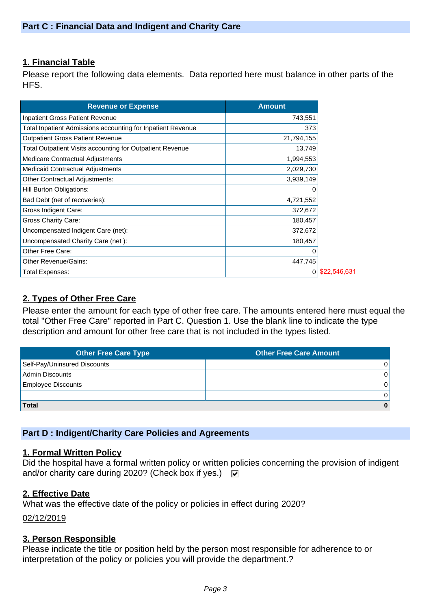## **1. Financial Table**

Please report the following data elements. Data reported here must balance in other parts of the HFS.

| <b>Revenue or Expense</b>                                   | <b>Amount</b>  |
|-------------------------------------------------------------|----------------|
| <b>Inpatient Gross Patient Revenue</b>                      | 743,551        |
| Total Inpatient Admissions accounting for Inpatient Revenue | 373            |
| <b>Outpatient Gross Patient Revenue</b>                     | 21,794,155     |
| Total Outpatient Visits accounting for Outpatient Revenue   | 13,749         |
| Medicare Contractual Adjustments                            | 1,994,553      |
| Medicaid Contractual Adjustments                            | 2,029,730      |
| Other Contractual Adjustments:                              | 3,939,149      |
| Hill Burton Obligations:                                    | Ω              |
| Bad Debt (net of recoveries):                               | 4,721,552      |
| Gross Indigent Care:                                        | 372,672        |
| Gross Charity Care:                                         | 180,457        |
| Uncompensated Indigent Care (net):                          | 372,672        |
| Uncompensated Charity Care (net):                           | 180,457        |
| Other Free Care:                                            | 0              |
| <b>Other Revenue/Gains:</b>                                 | 447,745        |
| <b>Total Expenses:</b>                                      | 0 \$22,546,631 |

# **2. Types of Other Free Care**

Please enter the amount for each type of other free care. The amounts entered here must equal the total "Other Free Care" reported in Part C. Question 1. Use the blank line to indicate the type description and amount for other free care that is not included in the types listed.

| <b>Other Free Care Type</b>  | <b>Other Free Care Amount</b> |
|------------------------------|-------------------------------|
| Self-Pay/Uninsured Discounts |                               |
| Admin Discounts              |                               |
| <b>Employee Discounts</b>    | 0                             |
|                              |                               |
| <b>Total</b>                 | $\bf{0}$                      |

#### **Part D : Indigent/Charity Care Policies and Agreements**

#### **1. Formal Written Policy**

Did the hospital have a formal written policy or written policies concerning the provision of indigent and/or charity care during 2020? (Check box if yes.)  $\overline{w}$ 

#### **2. Effective Date**

What was the effective date of the policy or policies in effect during 2020?

02/12/2019

#### **3. Person Responsible**

Please indicate the title or position held by the person most responsible for adherence to or interpretation of the policy or policies you will provide the department.?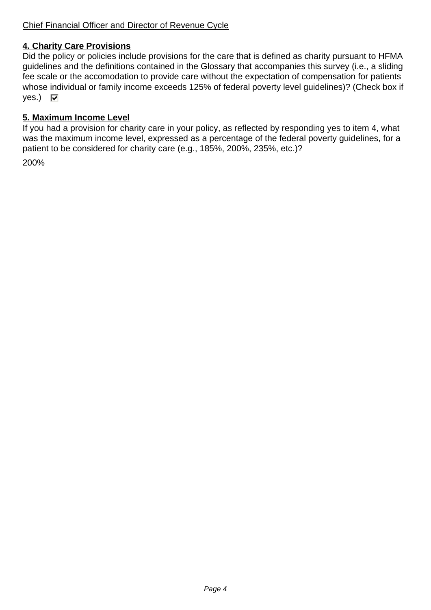## **4. Charity Care Provisions**

Did the policy or policies include provisions for the care that is defined as charity pursuant to HFMA guidelines and the definitions contained in the Glossary that accompanies this survey (i.e., a sliding fee scale or the accomodation to provide care without the expectation of compensation for patients whose individual or family income exceeds 125% of federal poverty level guidelines)? (Check box if  $yes.)$   $\nabla$ 

#### **5. Maximum Income Level**

If you had a provision for charity care in your policy, as reflected by responding yes to item 4, what was the maximum income level, expressed as a percentage of the federal poverty guidelines, for a patient to be considered for charity care (e.g., 185%, 200%, 235%, etc.)?

200%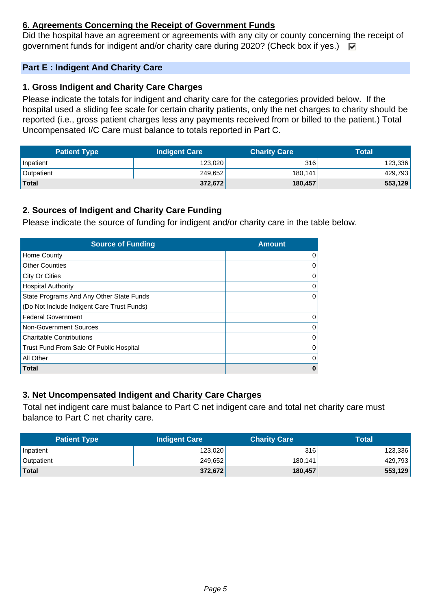# **6. Agreements Concerning the Receipt of Government Funds**

Did the hospital have an agreement or agreements with any city or county concerning the receipt of government funds for indigent and/or charity care during 2020? (Check box if yes.)  $\Box$ 

### **Part E : Indigent And Charity Care**

## **1. Gross Indigent and Charity Care Charges**

Please indicate the totals for indigent and charity care for the categories provided below. If the hospital used a sliding fee scale for certain charity patients, only the net charges to charity should be reported (i.e., gross patient charges less any payments received from or billed to the patient.) Total Uncompensated I/C Care must balance to totals reported in Part C.

| <b>Patient Type</b> | <b>Indigent Care</b> | <b>Charity Care</b> | Total   |
|---------------------|----------------------|---------------------|---------|
| Inpatient           | 123.020              | 316                 | 123,336 |
| Outpatient          | 249,652              | 180,141             | 429,793 |
| Total               | 372.672              | 180,457             | 553,129 |

# **2. Sources of Indigent and Charity Care Funding**

Please indicate the source of funding for indigent and/or charity care in the table below.

| <b>Source of Funding</b>                   | <b>Amount</b> |
|--------------------------------------------|---------------|
| Home County                                | 0             |
| <b>Other Counties</b>                      | 0             |
| City Or Cities                             | 0             |
| <b>Hospital Authority</b>                  | 0             |
| State Programs And Any Other State Funds   | 0             |
| (Do Not Include Indigent Care Trust Funds) |               |
| <b>Federal Government</b>                  | 0             |
| Non-Government Sources                     | 0             |
| <b>Charitable Contributions</b>            | 0             |
| Trust Fund From Sale Of Public Hospital    | 0             |
| All Other                                  | 0             |
| <b>Total</b>                               |               |

#### **3. Net Uncompensated Indigent and Charity Care Charges**

Total net indigent care must balance to Part C net indigent care and total net charity care must balance to Part C net charity care.

| <b>Patient Type</b> | <b>Indigent Care</b> | <b>Charity Care</b> | Total   |
|---------------------|----------------------|---------------------|---------|
| Inpatient           | 123,020              | 316                 | 123,336 |
| <b>Outpatient</b>   | 249.652              | 180,141             | 429,793 |
| Total               | 372.672              | 180,457             | 553,129 |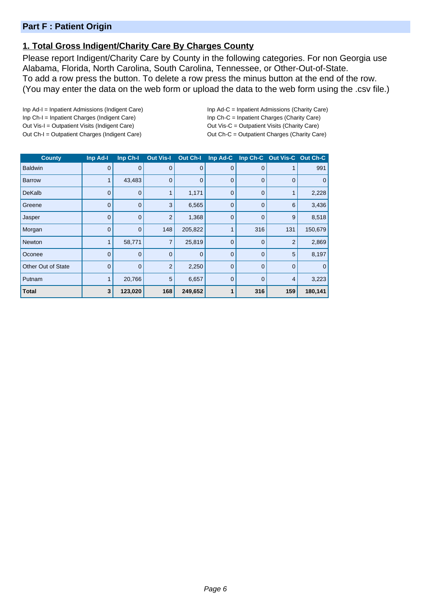#### **Part F : Patient Origin**

# **1. Total Gross Indigent/Charity Care By Charges County**

Please report Indigent/Charity Care by County in the following categories. For non Georgia use Alabama, Florida, North Carolina, South Carolina, Tennessee, or Other-Out-of-State. To add a row press the button. To delete a row press the minus button at the end of the row. (You may enter the data on the web form or upload the data to the web form using the .csv file.)

Inp Ad-I = Inpatient Admissions (Indigent Care) Inp Ad-C = Inpatient Admissions (Charity Care) Inp Ch-I = Inpatient Charges (Indigent Care) Inp Ch-C = Inpatient Charges (Charity Care) Out Vis-I = Outpatient Visits (Indigent Care) Out Vis-C = Outpatient Visits (Charity Care) Out Ch-I = Outpatient Charges (Indigent Care) Out Ch-C = Outpatient Charges (Charity Care)

| <b>County</b>      | Inp Ad-I       | Inp Ch-I       | <b>Out Vis-I</b> | Out Ch-I     | Inp Ad-C       |             | Inp Ch-C Out Vis-C Out Ch-C |                |
|--------------------|----------------|----------------|------------------|--------------|----------------|-------------|-----------------------------|----------------|
| <b>Baldwin</b>     | 0              | $\mathbf{0}$   | 0                | $\mathbf 0$  | $\mathbf 0$    | 0           |                             | 991            |
| <b>Barrow</b>      |                | 43,483         | 0                | $\mathbf{0}$ | $\mathbf 0$    | 0           | 0                           | $\mathbf 0$    |
| DeKalb             | 0              | $\mathbf 0$    |                  | 1,171        | $\overline{0}$ | 0           | 1                           | 2,228          |
| Greene             | 0              | $\mathbf{0}$   | 3                | 6,565        | $\mathbf 0$    | 0           | 6                           | 3,436          |
| Jasper             | $\overline{0}$ | $\overline{0}$ | $\overline{2}$   | 1,368        | $\overline{0}$ | 0           | 9                           | 8,518          |
| Morgan             | $\overline{0}$ | 0              | 148              | 205,822      | 1              | 316         | 131                         | 150,679        |
| <b>Newton</b>      |                | 58,771         | $\overline{7}$   | 25,819       | $\overline{0}$ | $\mathbf 0$ | $\overline{2}$              | 2,869          |
| Oconee             | $\Omega$       | $\mathbf 0$    | 0                | $\mathbf{0}$ | $\Omega$       | $\mathbf 0$ | 5                           | 8,197          |
| Other Out of State | $\overline{0}$ | $\overline{0}$ | $\overline{2}$   | 2,250        | $\overline{0}$ | $\mathbf 0$ | $\mathbf 0$                 | $\overline{0}$ |
| Putnam             |                | 20,766         | 5                | 6,657        | $\overline{0}$ | $\mathbf 0$ | $\overline{4}$              | 3,223          |
| <b>Total</b>       | 3              | 123,020        | 168              | 249,652      |                | 316         | 159                         | 180,141        |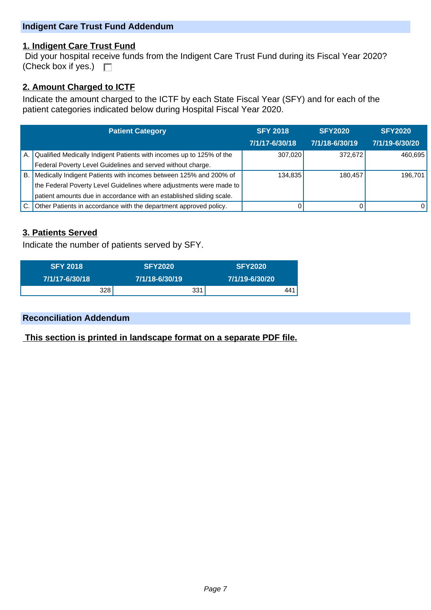#### **Indigent Care Trust Fund Addendum**

#### **1. Indigent Care Trust Fund**

 Did your hospital receive funds from the Indigent Care Trust Fund during its Fiscal Year 2020? (Check box if yes.)  $\square$ 

#### **2. Amount Charged to ICTF**

Indicate the amount charged to the ICTF by each State Fiscal Year (SFY) and for each of the patient categories indicated below during Hospital Fiscal Year 2020.

| <b>Patient Category</b> |                                                                      | <b>SFY 2018</b> | <b>SFY2020</b> | <b>SFY2020</b> |
|-------------------------|----------------------------------------------------------------------|-----------------|----------------|----------------|
|                         |                                                                      | 7/1/17-6/30/18  | 7/1/18-6/30/19 | 7/1/19-6/30/20 |
| A. I                    | Qualified Medically Indigent Patients with incomes up to 125% of the | 307,020         | 372,672        | 460,695        |
|                         | Federal Poverty Level Guidelines and served without charge.          |                 |                |                |
| <b>B.</b>               | Medically Indigent Patients with incomes between 125% and 200% of    | 134,835         | 180.457        | 196.701        |
|                         | the Federal Poverty Level Guidelines where adjustments were made to  |                 |                |                |
|                         | patient amounts due in accordance with an established sliding scale. |                 |                |                |
| C.                      | Other Patients in accordance with the department approved policy.    |                 |                | $\Omega$       |

## **3. Patients Served**

Indicate the number of patients served by SFY.

| <b>SFY 2018</b> | <b>SFY2020</b> | <b>SFY2020</b> |
|-----------------|----------------|----------------|
| 7/1/17-6/30/18  | 7/1/18-6/30/19 | 7/1/19-6/30/20 |
| 328             | 331            | 441            |

#### **Reconciliation Addendum**

 **This section is printed in landscape format on a separate PDF file.**